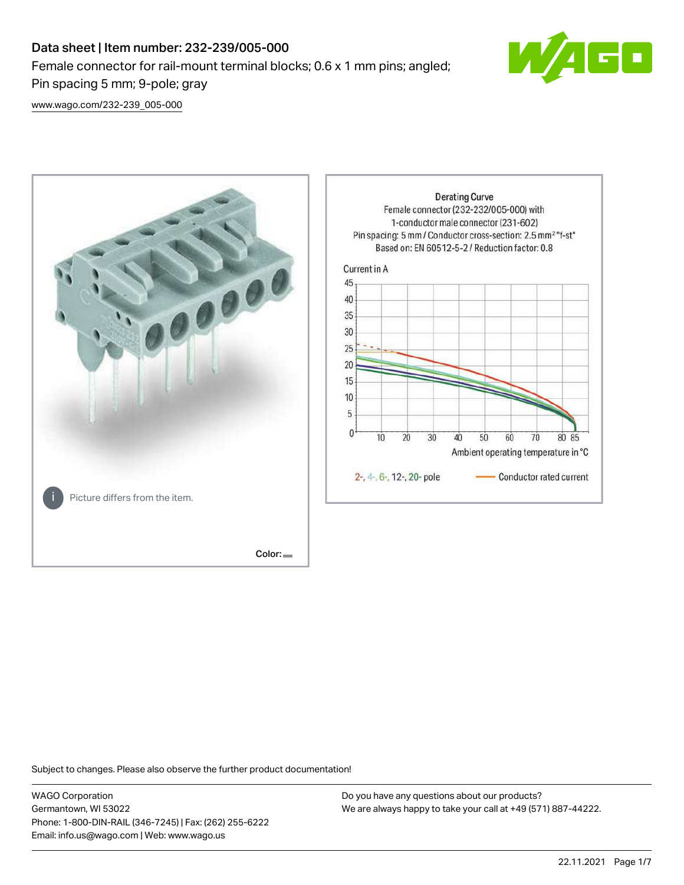# Data sheet | Item number: 232-239/005-000 Female connector for rail-mount terminal blocks; 0.6 x 1 mm pins; angled; Pin spacing 5 mm; 9-pole; gray



[www.wago.com/232-239\\_005-000](http://www.wago.com/232-239_005-000)



Subject to changes. Please also observe the further product documentation!

WAGO Corporation Germantown, WI 53022 Phone: 1-800-DIN-RAIL (346-7245) | Fax: (262) 255-6222 Email: info.us@wago.com | Web: www.wago.us

Do you have any questions about our products? We are always happy to take your call at +49 (571) 887-44222.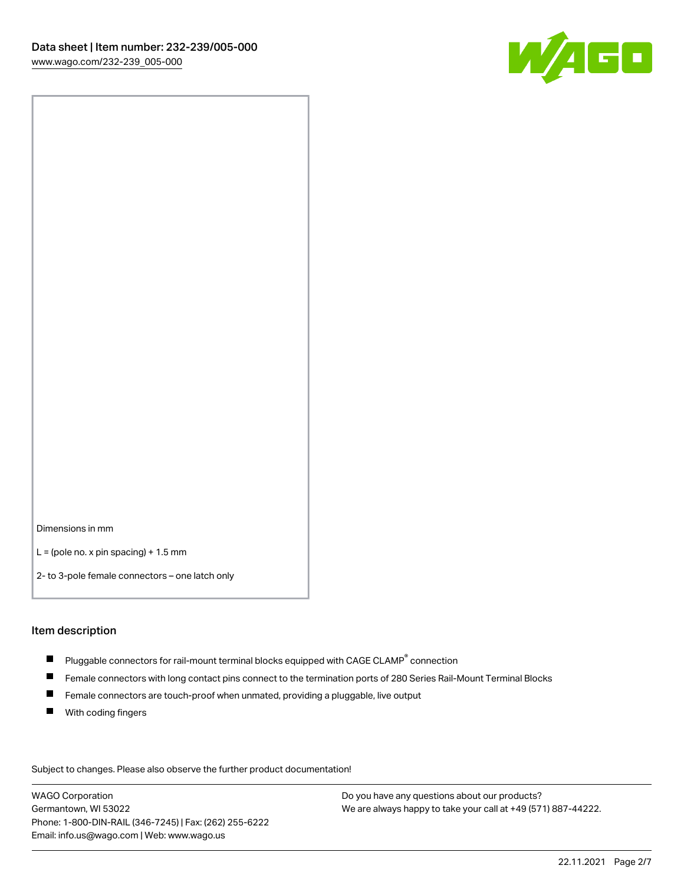

Dimensions in mm

 $L =$  (pole no. x pin spacing) + 1.5 mm

2- to 3-pole female connectors – one latch only

#### Item description

- $\blacksquare$  Pluggable connectors for rail-mount terminal blocks equipped with CAGE CLAMP $^\circ$  connection
- Female connectors with long contact pins connect to the termination ports of 280 Series Rail-Mount Terminal Blocks
- $\blacksquare$ Female connectors are touch-proof when unmated, providing a pluggable, live output
- $\blacksquare$ With coding fingers

Subject to changes. Please also observe the further product documentation! Data

WAGO Corporation Germantown, WI 53022 Phone: 1-800-DIN-RAIL (346-7245) | Fax: (262) 255-6222 Email: info.us@wago.com | Web: www.wago.us

Do you have any questions about our products? We are always happy to take your call at +49 (571) 887-44222.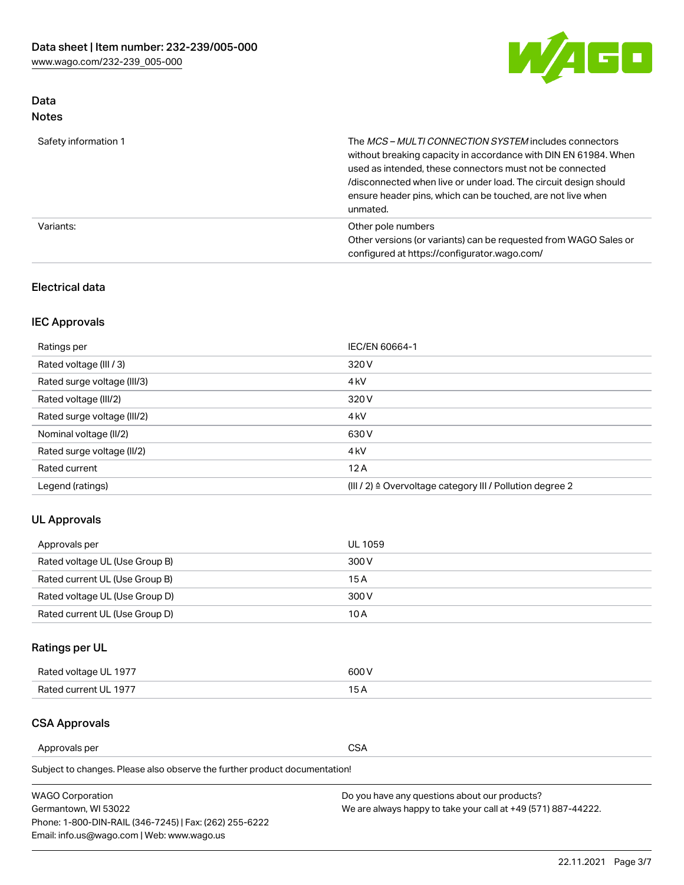

# Data Notes

| Safety information 1 | The <i>MCS – MULTI CONNECTION SYSTEM</i> includes connectors<br>without breaking capacity in accordance with DIN EN 61984. When<br>used as intended, these connectors must not be connected<br>/disconnected when live or under load. The circuit design should<br>ensure header pins, which can be touched, are not live when<br>unmated. |
|----------------------|--------------------------------------------------------------------------------------------------------------------------------------------------------------------------------------------------------------------------------------------------------------------------------------------------------------------------------------------|
| Variants:            | Other pole numbers<br>Other versions (or variants) can be requested from WAGO Sales or<br>configured at https://configurator.wago.com/                                                                                                                                                                                                     |

### Electrical data

# IEC Approvals

| Ratings per                 | IEC/EN 60664-1                                                        |
|-----------------------------|-----------------------------------------------------------------------|
| Rated voltage (III / 3)     | 320 V                                                                 |
| Rated surge voltage (III/3) | 4 <sub>k</sub> V                                                      |
| Rated voltage (III/2)       | 320 V                                                                 |
| Rated surge voltage (III/2) | 4 <sub>k</sub> V                                                      |
| Nominal voltage (II/2)      | 630 V                                                                 |
| Rated surge voltage (II/2)  | 4 <sub>k</sub> V                                                      |
| Rated current               | 12A                                                                   |
| Legend (ratings)            | $(III / 2)$ $\triangle$ Overvoltage category III / Pollution degree 2 |

### UL Approvals

| Approvals per                  | UL 1059 |
|--------------------------------|---------|
| Rated voltage UL (Use Group B) | 300 V   |
| Rated current UL (Use Group B) | 15 A    |
| Rated voltage UL (Use Group D) | 300 V   |
| Rated current UL (Use Group D) | 10 A    |

# Ratings per UL

| Rated voltage UL 1977 | 300 V |
|-----------------------|-------|
| Rated current UL 1977 |       |

### CSA Approvals

Approvals per CSA

| <b>WAGO Corporation</b>                                | Do you have any questions about our products?                 |
|--------------------------------------------------------|---------------------------------------------------------------|
| Germantown, WI 53022                                   | We are always happy to take your call at +49 (571) 887-44222. |
| Phone: 1-800-DIN-RAIL (346-7245)   Fax: (262) 255-6222 |                                                               |
| Email: info.us@wago.com   Web: www.wago.us             |                                                               |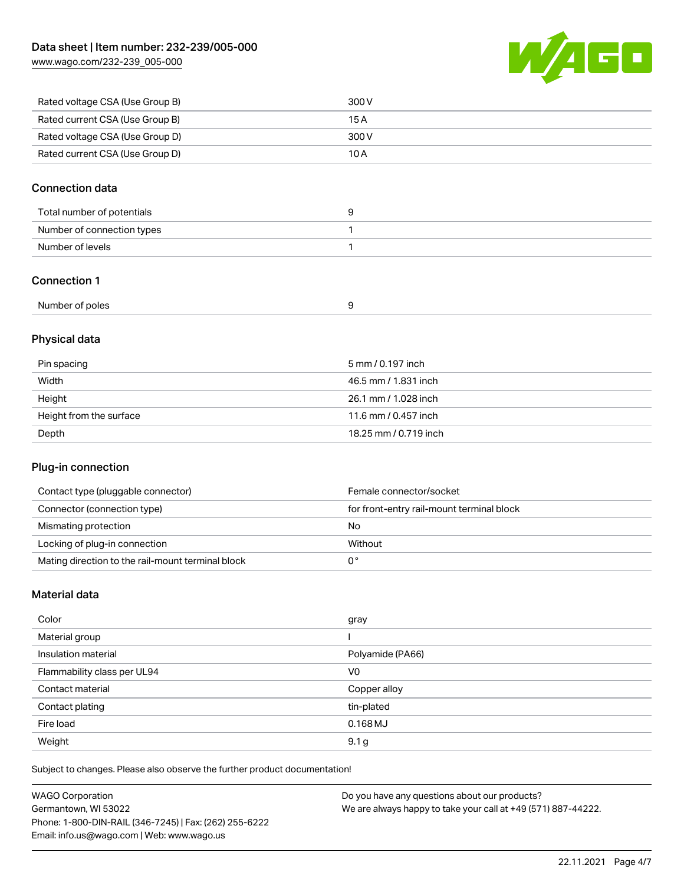[www.wago.com/232-239\\_005-000](http://www.wago.com/232-239_005-000)



| Rated voltage CSA (Use Group B) | 300 V |
|---------------------------------|-------|
| Rated current CSA (Use Group B) | 15 A  |
| Rated voltage CSA (Use Group D) | 300 V |
| Rated current CSA (Use Group D) | 10 A  |

### Connection data

| Total number of potentials |  |
|----------------------------|--|
| Number of connection types |  |
| Number of levels           |  |

### Connection 1

| Number of poles |  |  |
|-----------------|--|--|
|-----------------|--|--|

# Physical data

| Pin spacing             | 5 mm / 0.197 inch     |
|-------------------------|-----------------------|
| Width                   | 46.5 mm / 1.831 inch  |
| Height                  | 26.1 mm / 1.028 inch  |
| Height from the surface | 11.6 mm / 0.457 inch  |
| Depth                   | 18.25 mm / 0.719 inch |

# Plug-in connection

| Contact type (pluggable connector)                | Female connector/socket                   |
|---------------------------------------------------|-------------------------------------------|
| Connector (connection type)                       | for front-entry rail-mount terminal block |
| Mismating protection                              | No                                        |
| Locking of plug-in connection                     | Without                                   |
| Mating direction to the rail-mount terminal block |                                           |

### Material data

| Color                       | gray             |
|-----------------------------|------------------|
| Material group              |                  |
| Insulation material         | Polyamide (PA66) |
| Flammability class per UL94 | V <sub>0</sub>   |
| Contact material            | Copper alloy     |
| Contact plating             | tin-plated       |
| Fire load                   | $0.168$ MJ       |
| Weight                      | 9.1 <sub>g</sub> |

| <b>WAGO Corporation</b>                                | Do you have any questions about our products?                 |
|--------------------------------------------------------|---------------------------------------------------------------|
| Germantown, WI 53022                                   | We are always happy to take your call at +49 (571) 887-44222. |
| Phone: 1-800-DIN-RAIL (346-7245)   Fax: (262) 255-6222 |                                                               |
| Email: info.us@wago.com   Web: www.wago.us             |                                                               |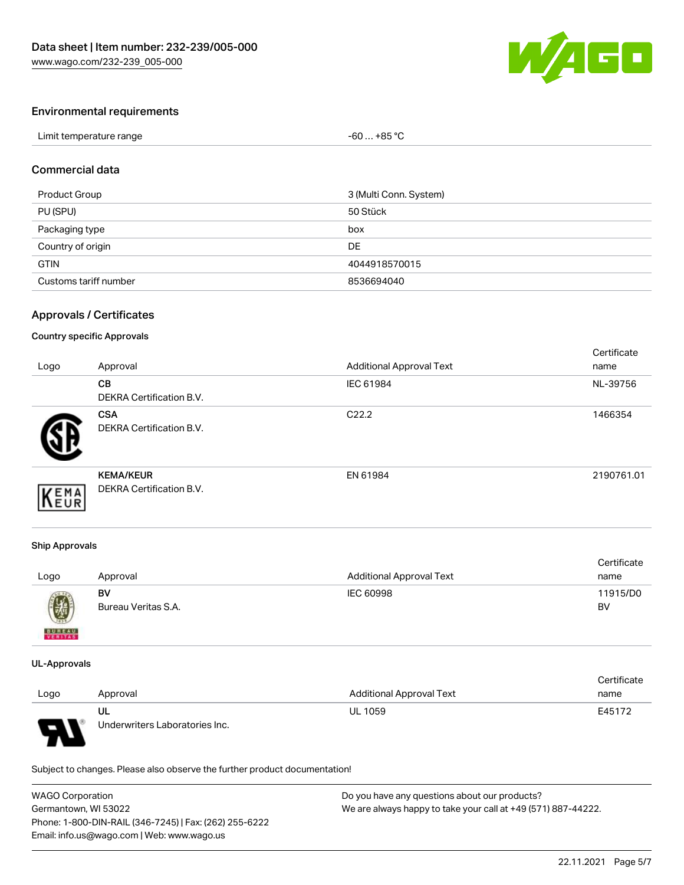

### Environmental requirements

| Limit temperature range | -60  +85 °Ր |  |
|-------------------------|-------------|--|
|-------------------------|-------------|--|

#### Commercial data

| Product Group         | 3 (Multi Conn. System) |
|-----------------------|------------------------|
| PU (SPU)              | 50 Stück               |
| Packaging type        | box                    |
| Country of origin     | DE                     |
| <b>GTIN</b>           | 4044918570015          |
| Customs tariff number | 8536694040             |

### Approvals / Certificates

#### Country specific Approvals

| Logo | Approval                                            | <b>Additional Approval Text</b> | Certificate<br>name |
|------|-----------------------------------------------------|---------------------------------|---------------------|
|      | <b>CB</b><br><b>DEKRA Certification B.V.</b>        | IEC 61984                       | NL-39756            |
|      | <b>CSA</b><br>DEKRA Certification B.V.              | C <sub>22.2</sub>               | 1466354             |
| EMA  | <b>KEMA/KEUR</b><br><b>DEKRA Certification B.V.</b> | EN 61984                        | 2190761.01          |

#### Ship Approvals

| Logo          | Approval            | <b>Additional Approval Text</b> | Certificate<br>name |
|---------------|---------------------|---------------------------------|---------------------|
| $\bigcirc$    | BV                  | IEC 60998                       | 11915/D0            |
| <b>BUREAU</b> | Bureau Veritas S.A. |                                 | BV                  |

#### UL-Approvals

|      |                                |                                 | Certificate |
|------|--------------------------------|---------------------------------|-------------|
| Logo | Approval                       | <b>Additional Approval Text</b> | name        |
|      | UL                             | <b>UL 1059</b>                  | E45172      |
| J    | Underwriters Laboratories Inc. |                                 |             |

| <b>WAGO Corporation</b>                                | Do you have any questions about our products?                 |
|--------------------------------------------------------|---------------------------------------------------------------|
| Germantown, WI 53022                                   | We are always happy to take your call at +49 (571) 887-44222. |
| Phone: 1-800-DIN-RAIL (346-7245)   Fax: (262) 255-6222 |                                                               |
| Email: info.us@wago.com   Web: www.wago.us             |                                                               |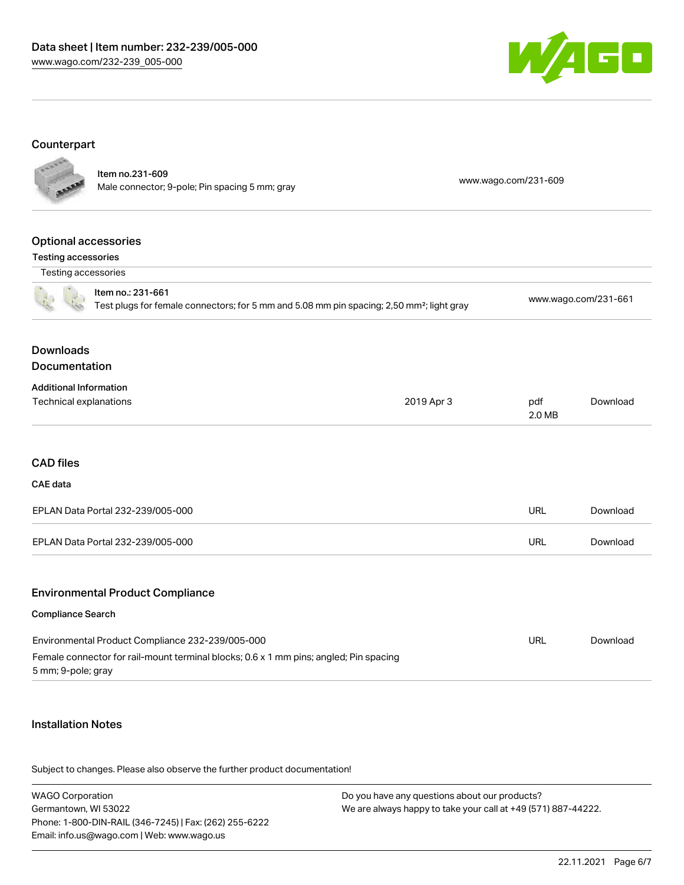

# Counterpart

|                               | Item no.231-609<br>Male connector; 9-pole; Pin spacing 5 mm; gray                                                          |            | www.wago.com/231-609 |                      |
|-------------------------------|----------------------------------------------------------------------------------------------------------------------------|------------|----------------------|----------------------|
|                               |                                                                                                                            |            |                      |                      |
| <b>Optional accessories</b>   |                                                                                                                            |            |                      |                      |
| <b>Testing accessories</b>    |                                                                                                                            |            |                      |                      |
| Testing accessories           |                                                                                                                            |            |                      |                      |
|                               | Item no.: 231-661<br>Test plugs for female connectors; for 5 mm and 5.08 mm pin spacing; 2,50 mm <sup>2</sup> ; light gray |            |                      | www.wago.com/231-661 |
| <b>Downloads</b>              |                                                                                                                            |            |                      |                      |
| Documentation                 |                                                                                                                            |            |                      |                      |
| <b>Additional Information</b> |                                                                                                                            |            |                      |                      |
| Technical explanations        |                                                                                                                            | 2019 Apr 3 | pdf<br>2.0 MB        | Download             |
|                               |                                                                                                                            |            |                      |                      |
| <b>CAD</b> files              |                                                                                                                            |            |                      |                      |
| <b>CAE</b> data               |                                                                                                                            |            |                      |                      |
|                               | EPLAN Data Portal 232-239/005-000                                                                                          |            | <b>URL</b>           | Download             |
|                               | EPLAN Data Portal 232-239/005-000                                                                                          |            | URL                  | Download             |
|                               | <b>Environmental Product Compliance</b>                                                                                    |            |                      |                      |
|                               |                                                                                                                            |            |                      |                      |
| Compliance Search             |                                                                                                                            |            |                      |                      |
|                               | Environmental Product Compliance 232-239/005-000                                                                           |            | <b>URL</b>           | Download             |
| 5 mm; 9-pole; gray            | Female connector for rail-mount terminal blocks; 0.6 x 1 mm pins; angled; Pin spacing                                      |            |                      |                      |
|                               |                                                                                                                            |            |                      |                      |

### Installation Notes

| <b>WAGO Corporation</b>                                | Do you have any questions about our products?                 |
|--------------------------------------------------------|---------------------------------------------------------------|
| Germantown, WI 53022                                   | We are always happy to take your call at +49 (571) 887-44222. |
| Phone: 1-800-DIN-RAIL (346-7245)   Fax: (262) 255-6222 |                                                               |
| Email: info.us@wago.com   Web: www.wago.us             |                                                               |